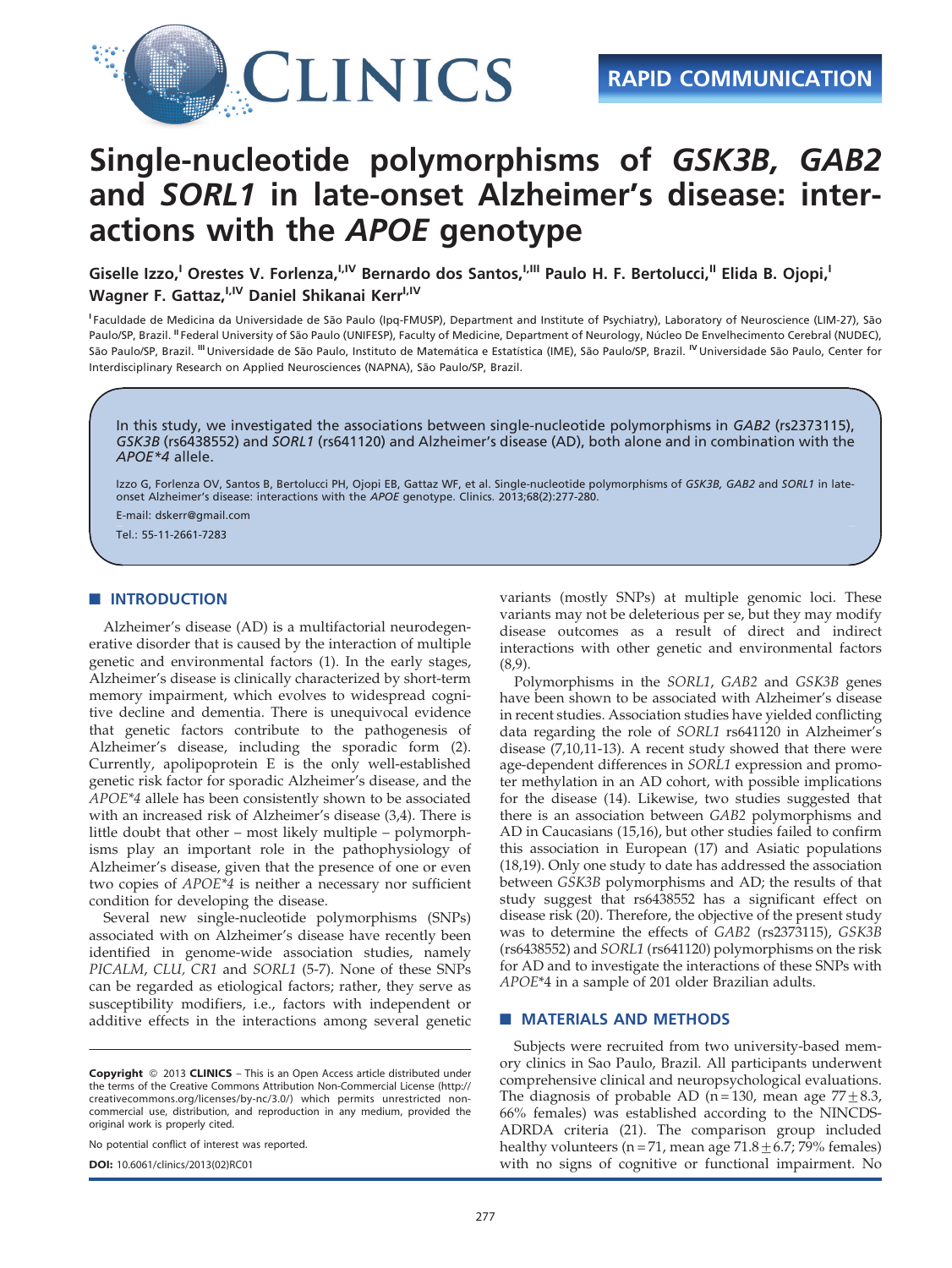

# Single-nucleotide polymorphisms of GSK3B, GAB2 and SORL1 in late-onset Alzheimer's disease: interactions with the APOE genotype

Giselle Izzo,<sup>I</sup> Orestes V. Forlenza,<sup>I,IV</sup> Bernardo dos Santos,<sup>I,III</sup> Paulo H. F. Bertolucci,<sup>II</sup> Elida B. Ojopi,<sup>I</sup> Wagner F. Gattaz, <sup>I,IV</sup> Daniel Shikanai Kerr<sup>I,IV</sup>

<sup>I</sup> Faculdade de Medicina da Universidade de São Paulo (Ipq-FMUSP), Department and Institute of Psychiatry), Laboratory of Neuroscience (LIM-27), São Paulo/SP, Brazil. "Federal University of São Paulo (UNIFESP), Faculty of Medicine, Department of Neurology, Núcleo De Envelhecimento Cerebral (NUDEC), São Paulo/SP, Brazil. <sup>III</sup> Universidade de São Paulo, Instituto de Matemática e Estatística (IME), São Paulo/SP, Brazil. <sup>IV</sup> Universidade São Paulo, Center for Interdisciplinary Research on Applied Neurosciences (NAPNA), São Paulo/SP, Brazil.

In this study, we investigated the associations between single-nucleotide polymorphisms in GAB2 (rs2373115), GSK3B (rs6438552) and SORL1 (rs641120) and Alzheimer's disease (AD), both alone and in combination with the APOE\*4 allele.

Izzo G, Forlenza OV, Santos B, Bertolucci PH, Ojopi EB, Gattaz WF, et al. Single-nucleotide polymorphisms of GSK3B, GAB2 and SORL1 in lateonset Alzheimer's disease: interactions with the APOE genotype. Clinics. 2013;68(2):277-280.

E-mail: dskerr@gmail.com

Tel.: 55-11-2661-7283

## **NUMBER** INTRODUCTION

Alzheimer's disease (AD) is a multifactorial neurodegenerative disorder that is caused by the interaction of multiple genetic and environmental factors (1). In the early stages, Alzheimer's disease is clinically characterized by short-term memory impairment, which evolves to widespread cognitive decline and dementia. There is unequivocal evidence that genetic factors contribute to the pathogenesis of Alzheimer's disease, including the sporadic form (2). Currently, apolipoprotein E is the only well-established genetic risk factor for sporadic Alzheimer's disease, and the APOE\*4 allele has been consistently shown to be associated with an increased risk of Alzheimer's disease (3,4). There is little doubt that other – most likely multiple – polymorphisms play an important role in the pathophysiology of Alzheimer's disease, given that the presence of one or even two copies of APOE\*4 is neither a necessary nor sufficient condition for developing the disease.

Several new single-nucleotide polymorphisms (SNPs) associated with on Alzheimer's disease have recently been identified in genome-wide association studies, namely PICALM, CLU, CR1 and SORL1 (5-7). None of these SNPs can be regarded as etiological factors; rather, they serve as susceptibility modifiers, i.e., factors with independent or additive effects in the interactions among several genetic

No potential conflict of interest was reported.

DOI: 10.6061/clinics/2013(02)RC01

variants (mostly SNPs) at multiple genomic loci. These variants may not be deleterious per se, but they may modify disease outcomes as a result of direct and indirect interactions with other genetic and environmental factors (8,9).

Polymorphisms in the SORL1, GAB2 and GSK3B genes have been shown to be associated with Alzheimer's disease in recent studies. Association studies have yielded conflicting data regarding the role of SORL1 rs641120 in Alzheimer's disease (7,10,11-13). A recent study showed that there were age-dependent differences in SORL1 expression and promoter methylation in an AD cohort, with possible implications for the disease (14). Likewise, two studies suggested that there is an association between GAB2 polymorphisms and AD in Caucasians (15,16), but other studies failed to confirm this association in European (17) and Asiatic populations (18,19). Only one study to date has addressed the association between GSK3B polymorphisms and AD; the results of that study suggest that rs6438552 has a significant effect on disease risk (20). Therefore, the objective of the present study was to determine the effects of GAB2 (rs2373115), GSK3B (rs6438552) and SORL1 (rs641120) polymorphisms on the risk for AD and to investigate the interactions of these SNPs with APOE\*4 in a sample of 201 older Brazilian adults.

## **MATERIALS AND METHODS**

Subjects were recruited from two university-based memory clinics in Sao Paulo, Brazil. All participants underwent comprehensive clinical and neuropsychological evaluations. The diagnosis of probable AD (n = 130, mean age  $77 \pm 8.3$ , 66% females) was established according to the NINCDS-ADRDA criteria (21). The comparison group included healthy volunteers (n = 71, mean age  $71.8 \pm 6.7$ ; 79% females) with no signs of cognitive or functional impairment. No

Copyright © 2013 CLINICS - This is an Open Access article distributed under the terms of the Creative Commons Attribution Non-Commercial License (http:// creativecommons.org/licenses/by-nc/3.0/) which permits unrestricted noncommercial use, distribution, and reproduction in any medium, provided the original work is properly cited.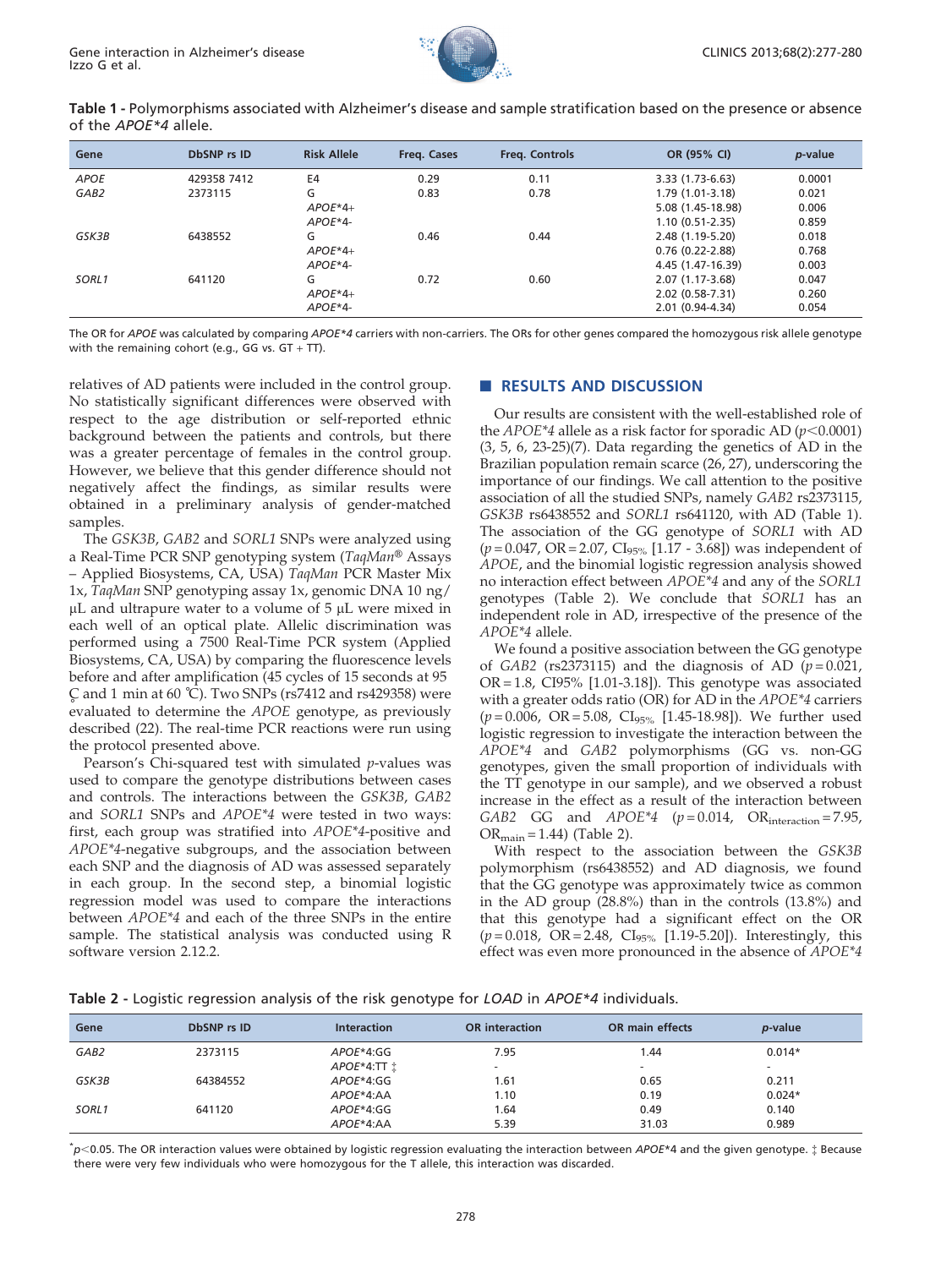

<span id="page-1-0"></span>Table 1 - Polymorphisms associated with Alzheimer's disease and sample stratification based on the presence or absence of the APOE\*4 allele.

| Gene             | <b>DbSNP</b> rs ID | <b>Risk Allele</b> | Freg. Cases | <b>Freg. Controls</b> | OR (95% CI)         | p-value |
|------------------|--------------------|--------------------|-------------|-----------------------|---------------------|---------|
| <b>APOE</b>      | 429358 7412        | E4                 | 0.29        | 0.11                  | 3.33 (1.73-6.63)    | 0.0001  |
| GAB <sub>2</sub> | 2373115            | G                  | 0.83        | 0.78                  | 1.79 (1.01-3.18)    | 0.021   |
|                  |                    | $APOE*4+$          |             |                       | 5.08 (1.45-18.98)   | 0.006   |
|                  |                    | $APOE*4-$          |             |                       | $1.10(0.51 - 2.35)$ | 0.859   |
| GSK3B            | 6438552            | G                  | 0.46        | 0.44                  | 2.48 (1.19-5.20)    | 0.018   |
|                  |                    | $APOE*4+$          |             |                       | $0.76(0.22 - 2.88)$ | 0.768   |
|                  |                    | $APOE*4-$          |             |                       | 4.45 (1.47-16.39)   | 0.003   |
| SORL1            | 641120             | G                  | 0.72        | 0.60                  | 2.07 (1.17-3.68)    | 0.047   |
|                  |                    | $APOE*4+$          |             |                       | 2.02 (0.58-7.31)    | 0.260   |
|                  |                    | $APOE*4-$          |             |                       | $2.01(0.94-4.34)$   | 0.054   |

The OR for APOE was calculated by comparing APOE\*4 carriers with non-carriers. The ORs for other genes compared the homozygous risk allele genotype with the remaining cohort (e.g., GG vs.  $GT + TT$ ).

relatives of AD patients were included in the control group. No statistically significant differences were observed with respect to the age distribution or self-reported ethnic background between the patients and controls, but there was a greater percentage of females in the control group. However, we believe that this gender difference should not negatively affect the findings, as similar results were obtained in a preliminary analysis of gender-matched samples.

The GSK3B, GAB2 and SORL1 SNPs were analyzed using a Real-Time PCR SNP genotyping system (TaqMan® Assays – Applied Biosystems, CA, USA) TaqMan PCR Master Mix 1x, TaqMan SNP genotyping assay 1x, genomic DNA 10 ng/  $\mu$ L and ultrapure water to a volume of 5  $\mu$ L were mixed in each well of an optical plate. Allelic discrimination was performed using a 7500 Real-Time PCR system (Applied Biosystems, CA, USA) by comparing the fluorescence levels before and after amplification (45 cycles of 15 seconds at 95 evaluated to determine the APOE genotype, as previously  $\textcirc$  and 1 min at 60  $\textcirc$ ). Two SNPs (rs7412 and rs429358) were described (22). The real-time PCR reactions were run using the protocol presented above.

Pearson's Chi-squared test with simulated p-values was used to compare the genotype distributions between cases and controls. The interactions between the GSK3B, GAB2 and SORL1 SNPs and APOE\*4 were tested in two ways: first, each group was stratified into APOE\*4-positive and APOE\*4-negative subgroups, and the association between each SNP and the diagnosis of AD was assessed separately in each group. In the second step, a binomial logistic regression model was used to compare the interactions between APOE\*4 and each of the three SNPs in the entire sample. The statistical analysis was conducted using R software version 2.12.2.

# **RESULTS AND DISCUSSION**

Our results are consistent with the well-established role of the *APOE\*4* allele as a risk factor for sporadic AD ( $p$ <0.0001) (3, 5, 6, 23-25)(7). Data regarding the genetics of AD in the Brazilian population remain scarce (26, 27), underscoring the importance of our findings. We call attention to the positive association of all the studied SNPs, namely GAB2 rs2373115, GSK3B rs6438552 and SORL1 rs641120, with AD (Table 1). The association of the GG genotype of SORL1 with AD  $(p=0.047, \text{ OR }=2.07, \text{ Cl }_{95\%}$  [1.17 - 3.68]) was independent of APOE, and the binomial logistic regression analysis showed no interaction effect between APOE\*4 and any of the SORL1 genotypes (Table 2). We conclude that SORL1 has an independent role in AD, irrespective of the presence of the APOE\*4 allele.

We found a positive association between the GG genotype of GAB2 (rs2373115) and the diagnosis of AD ( $p = 0.021$ , OR = 1.8, CI95% [1.01-3.18]). This genotype was associated with a greater odds ratio (OR) for AD in the APOE\*4 carriers  $(p=0.006, \text{ OR }=5.08, \text{ Cl}_{95\%}$  [1.45-18.98]). We further used logistic regression to investigate the interaction between the APOE\*4 and GAB2 polymorphisms (GG vs. non-GG genotypes, given the small proportion of individuals with the TT genotype in our sample), and we observed a robust increase in the effect as a result of the interaction between GAB2 GG and  $APOE*4$  ( $p = 0.014$ , OR<sub>interaction</sub> = 7.95,  $OR_{\text{main}} = 1.44$ ) (Table 2).

With respect to the association between the GSK3B polymorphism (rs6438552) and AD diagnosis, we found that the GG genotype was approximately twice as common in the AD group (28.8%) than in the controls (13.8%) and that this genotype had a significant effect on the OR  $(p=0.018, \overline{OR} = 2.48, \overline{Cl}_{95\%}$  [1.19-5.20]). Interestingly, this effect was even more pronounced in the absence of APOE\*4

|  |  | Table 2 - Logistic regression analysis of the risk genotype for LOAD in APOE*4 individuals. |  |  |
|--|--|---------------------------------------------------------------------------------------------|--|--|
|  |  |                                                                                             |  |  |

| Gene             | <b>DbSNP</b> rs ID | <b>Interaction</b> | <b>OR</b> interaction    | <b>OR</b> main effects   | <i>p</i> -value |  |
|------------------|--------------------|--------------------|--------------------------|--------------------------|-----------------|--|
| GAB <sub>2</sub> | 2373115            | APOE*4:GG          | 7.95                     | 1.44                     | $0.014*$        |  |
|                  |                    | APOE*4:TT i        | $\overline{\phantom{a}}$ | $\overline{\phantom{a}}$ |                 |  |
| GSK3B            | 64384552           | APOE*4:GG          | 1.61                     | 0.65                     | 0.211           |  |
|                  |                    | APOE*4:AA          | 1.10                     | 0.19                     | $0.024*$        |  |
| SORL1            | 641120             | $APOE*4:GG$        | .64                      | 0.49                     | 0.140           |  |
|                  |                    | APOE*4:AA          | 5.39                     | 31.03                    | 0.989           |  |

 $\check{p}$ <0.05. The OR interaction values were obtained by logistic regression evaluating the interaction between APOE\*4 and the given genotype.  $\ddagger$  Because there were very few individuals who were homozygous for the T allele, this interaction was discarded.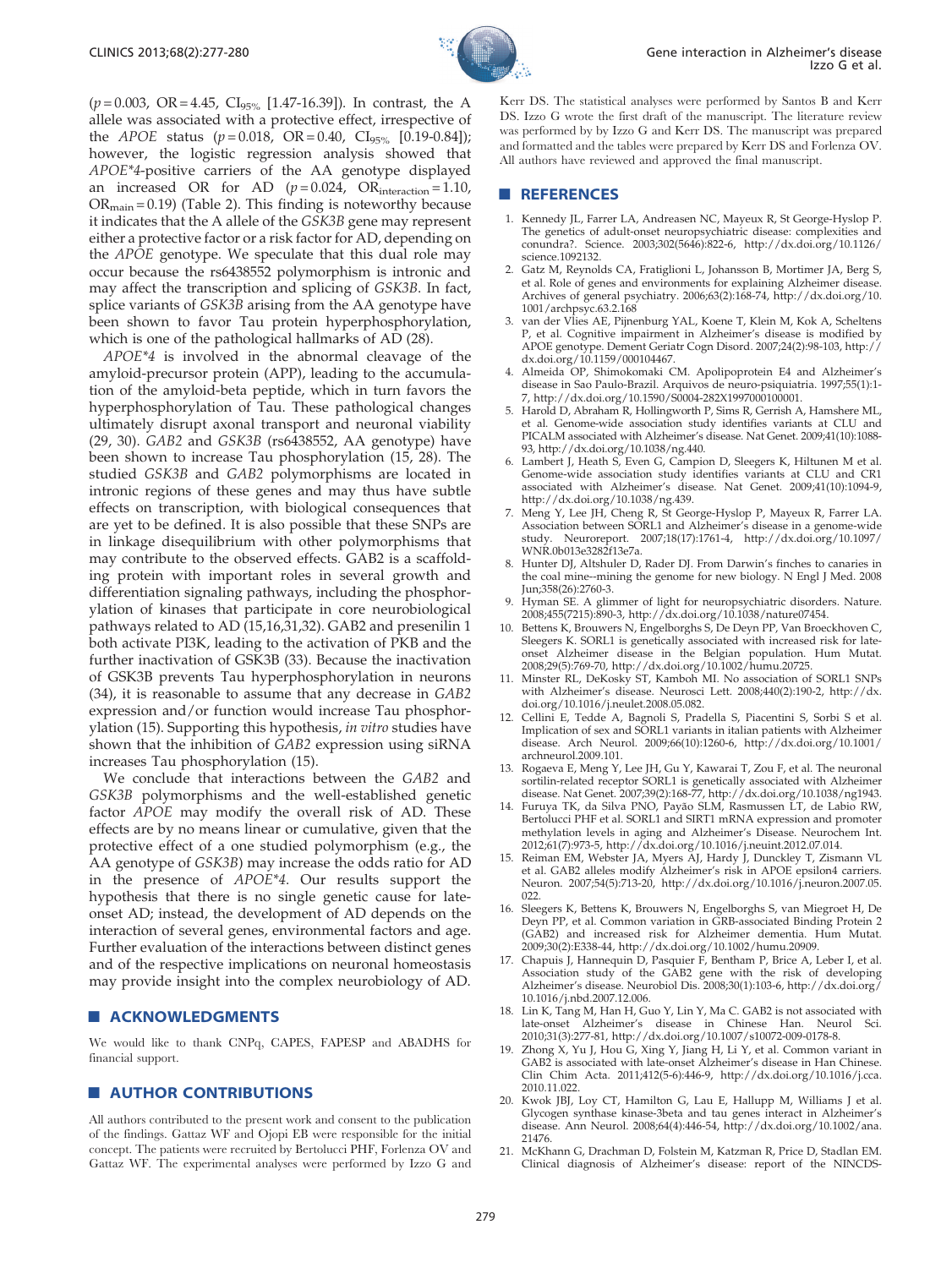

 $(p=0.003, \text{ OR} = 4.45, \text{ Cl}_{95\%} [1.47-16.39]).$  In contrast, the A allele was associated with a protective effect, irrespective of the *APOE* status ( $p = 0.018$ , OR = 0.40, CI<sub>95%</sub> [0.19-0.84]); however, the logistic [regression analysis showed that](#page-1-0) APOE\*4[-positive](#page-1-0) [carriers](#page-1-0) [of](#page-1-0) [the](#page-1-0) [AA](#page-1-0) [genotype](#page-1-0) [displayed](#page-1-0) an increased OR for AD  $(p=0.024, OR_{interaction}=1.10,$  $OR<sub>main</sub> = 0.19$  $OR<sub>main</sub> = 0.19$  $OR<sub>main</sub> = 0.19$  [\(Table](#page-1-0) [2\).](#page-1-0) [This](#page-1-0) [finding](#page-1-0) [is](#page-1-0) [noteworthy](#page-1-0) [because](#page-1-0) it indica[tes that the A allele of the](#page-1-0) GSK3B gene may represent either a [protective](#page-1-0) [factor](#page-1-0) [or](#page-1-0) [a](#page-1-0) [risk](#page-1-0) [factor](#page-1-0) [for](#page-1-0) [AD,](#page-1-0) [depending](#page-1-0) [on](#page-1-0) the APOE [genotype.](#page-1-0) [We](#page-1-0) [speculate](#page-1-0) [that](#page-1-0) [this](#page-1-0) [dual](#page-1-0) [role](#page-1-0) [may](#page-1-0) occur b[ecause the rs6438552 polymorphism is intronic and](#page-1-0) may aff[ect](#page-1-0) [the](#page-1-0) [transcription](#page-1-0) [and](#page-1-0) [splicing](#page-1-0) [of](#page-1-0) GSK3B. In fact, splice variants of GSK3B arising from the AA genotype have been shown to favor Tau protein hyperphosphorylation, which is one of the pathological hallmarks of AD (28).

APOE\*4 is involved in the abnormal cleavage of the amyloid-precursor protein (APP), leading to the accumulation of the amyloid-beta peptide, which in turn favors the hyperphosphorylation of Tau. These pathological changes ultimately disrupt axonal transport and neuronal viability (29, 30). GAB2 and GSK3B (rs6438552, AA genotype) have been shown to increase Tau phosphorylation (15, 28). The studied GSK3B and GAB2 polymorphisms are located in intronic regions of these genes and may thus have subtle effects on transcription, with biological consequences that are yet to be defined. It is also possible that these SNPs are in linkage disequilibrium with other polymorphisms that may contribute to the observed effects. GAB2 is a scaffolding protein with important roles in several growth and differentiation signaling pathways, including the phosphorylation of kinases that participate in core neurobiological pathways related to AD (15,16,31,32). GAB2 and presenilin 1 both activate PI3K, leading to the activation of PKB and the further inactivation of GSK3B (33). Because the inactivation of GSK3B prevents Tau hyperphosphorylation in neurons (34), it is reasonable to assume that any decrease in GAB2 expression and/or function would increase Tau phosphorylation (15). Supporting this hypothesis, in vitro studies have shown that the inhibition of GAB2 expression using siRNA increases Tau phosphorylation (15).

We conclude that interactions between the GAB2 and GSK3B polymorphisms and the well-established genetic factor APOE may modify the overall risk of AD. These effects are by no means linear or cumulative, given that the protective effect of a one studied polymorphism (e.g., the AA genotype of GSK3B) may increase the odds ratio for AD in the presence of APOE\*4. Our results support the hypothesis that there is no single genetic cause for lateonset AD; instead, the development of AD depends on the interaction of several genes, environmental factors and age. Further evaluation of the interactions between distinct genes and of the respective implications on neuronal homeostasis may provide insight into the complex neurobiology of AD.

#### **ACKNOWLEDGMENTS**

We would like to thank CNPq, CAPES, FAPESP and ABADHS for financial support.

## **AUTHOR CONTRIBUTIONS**

All authors contributed to the present work and consent to the publication of the findings. Gattaz WF and Ojopi EB were responsible for the initial concept. The patients were recruited by Bertolucci PHF, Forlenza OV and Gattaz WF. The experimental analyses were performed by Izzo G and

Kerr DS. The statistical analyses were performed by Santos B and Kerr DS. Izzo G wrote the first draft of the manuscript. The literature review was performed by by Izzo G and Kerr DS. The manuscript was prepared and formatted and the tables were prepared by Kerr DS and Forlenza OV. All authors have reviewed and approved the final manuscript.

## **B** REFERENCES

- 1. Kennedy JL, Farrer LA, Andreasen NC, Mayeux R, St George-Hyslop P. The genetics of adult-onset neuropsychiatric disease: complexities and conundra?. Science. 2003;302(5646):822-6, http://dx.doi.org/10.1126/ science.1092132.
- 2. Gatz M, Reynolds CA, Fratiglioni L, Johansson B, Mortimer JA, Berg S, et al. Role of genes and environments for explaining Alzheimer disease. Archives of general psychiatry. 2006;63(2):168-74, http://dx.doi.org/10. 1001/archpsyc.63.2.168
- 3. van der Vlies AE, Pijnenburg YAL, Koene T, Klein M, Kok A, Scheltens P, et al. Cognitive impairment in Alzheimer's disease is modified by APOE genotype. Dement Geriatr Cogn Disord. 2007;24(2):98-103, http:// dx.doi.org/10.1159/000104467.
- 4. Almeida OP, Shimokomaki CM. Apolipoprotein E4 and Alzheimer's disease in Sao Paulo-Brazil. Arquivos de neuro-psiquiatria. 1997;55(1):1- 7, http://dx.doi.org/10.1590/S0004-282X1997000100001.
- 5. Harold D, Abraham R, Hollingworth P, Sims R, Gerrish A, Hamshere ML, et al. Genome-wide association study identifies variants at CLU and PICALM associated with Alzheimer's disease. Nat Genet. 2009;41(10):1088- 93, http://dx.doi.org/10.1038/ng.440.
- 6. Lambert J, Heath S, Even G, Campion D, Sleegers K, Hiltunen M et al. Genome-wide association study identifies variants at CLU and CR1 associated with Alzheimer's disease. Nat Genet. 2009;41(10):1094-9, http://dx.doi.org/10.1038/ng.439.
- 7. Meng Y, Lee JH, Cheng R, St George-Hyslop P, Mayeux R, Farrer LA. Association between SORL1 and Alzheimer's disease in a genome-wide study. Neuroreport. 2007;18(17):1761-4, http://dx.doi.org/10.1097/ WNR.0b013e3282f13e7a.
- 8. Hunter DJ, Altshuler D, Rader DJ. From Darwin's finches to canaries in the coal mine--mining the genome for new biology. N Engl J Med. 2008 Jun;358(26):2760-3.
- Hyman SE. A glimmer of light for neuropsychiatric disorders. Nature. 2008;455(7215):890-3, http://dx.doi.org/10.1038/nature07454.
- 10. Bettens K, Brouwers N, Engelborghs S, De Deyn PP, Van Broeckhoven C, Sleegers K. SORL1 is genetically associated with increased risk for lateonset Alzheimer disease in the Belgian population. Hum Mutat. 2008;29(5):769-70, http://dx.doi.org/10.1002/humu.20725.
- 11. Minster RL, DeKosky ST, Kamboh MI. No association of SORL1 SNPs with Alzheimer's disease. Neurosci Lett. 2008;440(2):190-2, http://dx. doi.org/10.1016/j.neulet.2008.05.082.
- 12. Cellini E, Tedde A, Bagnoli S, Pradella S, Piacentini S, Sorbi S et al. Implication of sex and SORL1 variants in italian patients with Alzheimer disease. Arch Neurol. 2009;66(10):1260-6, http://dx.doi.org/10.1001/ archneurol.2009.101.
- Rogaeva E, Meng Y, Lee JH, Gu Y, Kawarai T, Zou F, et al. The neuronal sortilin-related receptor SORL1 is genetically associated with Alzheimer disease. Nat Genet. 2007;39(2):168-77, http://dx.doi.org/10.1038/ng1943.
- 14. Furuya TK, da Silva PNO, Payão SLM, Rasmussen LT, de Labio RW, Bertolucci PHF et al. SORL1 and SIRT1 mRNA expression and promoter methylation levels in aging and Alzheimer's Disease. Neurochem Int. 2012;61(7):973-5, http://dx.doi.org/10.1016/j.neuint.2012.07.014.
- 15. Reiman EM, Webster JA, Myers AJ, Hardy J, Dunckley T, Zismann VL et al. GAB2 alleles modify Alzheimer's risk in APOE epsilon4 carriers. Neuron. 2007;54(5):713-20, http://dx.doi.org/10.1016/j.neuron.2007.05. 022.
- 16. Sleegers K, Bettens K, Brouwers N, Engelborghs S, van Miegroet H, De Deyn PP, et al. Common variation in GRB-associated Binding Protein 2 (GAB2) and increased risk for Alzheimer dementia. Hum Mutat. 2009;30(2):E338-44, http://dx.doi.org/10.1002/humu.20909.
- 17. Chapuis J, Hannequin D, Pasquier F, Bentham P, Brice A, Leber I, et al. Association study of the GAB2 gene with the risk of developing Alzheimer's disease. Neurobiol Dis. 2008;30(1):103-6, http://dx.doi.org/ 10.1016/j.nbd.2007.12.006.
- 18. Lin K, Tang M, Han H, Guo Y, Lin Y, Ma C. GAB2 is not associated with late-onset Alzheimer's disease in Chinese Han. Neurol Sci. 2010;31(3):277-81, http://dx.doi.org/10.1007/s10072-009-0178-8.
- 19. Zhong X, Yu J, Hou G, Xing Y, Jiang H, Li Y, et al. Common variant in GAB2 is associated with late-onset Alzheimer's disease in Han Chinese. Clin Chim Acta. 2011;412(5-6):446-9, http://dx.doi.org/10.1016/j.cca. 2010.11.022.
- 20. Kwok JBJ, Loy CT, Hamilton G, Lau E, Hallupp M, Williams J et al. Glycogen synthase kinase-3beta and tau genes interact in Alzheimer's disease. Ann Neurol. 2008;64(4):446-54, http://dx.doi.org/10.1002/ana. 21476.
- 21. McKhann G, Drachman D, Folstein M, Katzman R, Price D, Stadlan EM. Clinical diagnosis of Alzheimer's disease: report of the NINCDS-